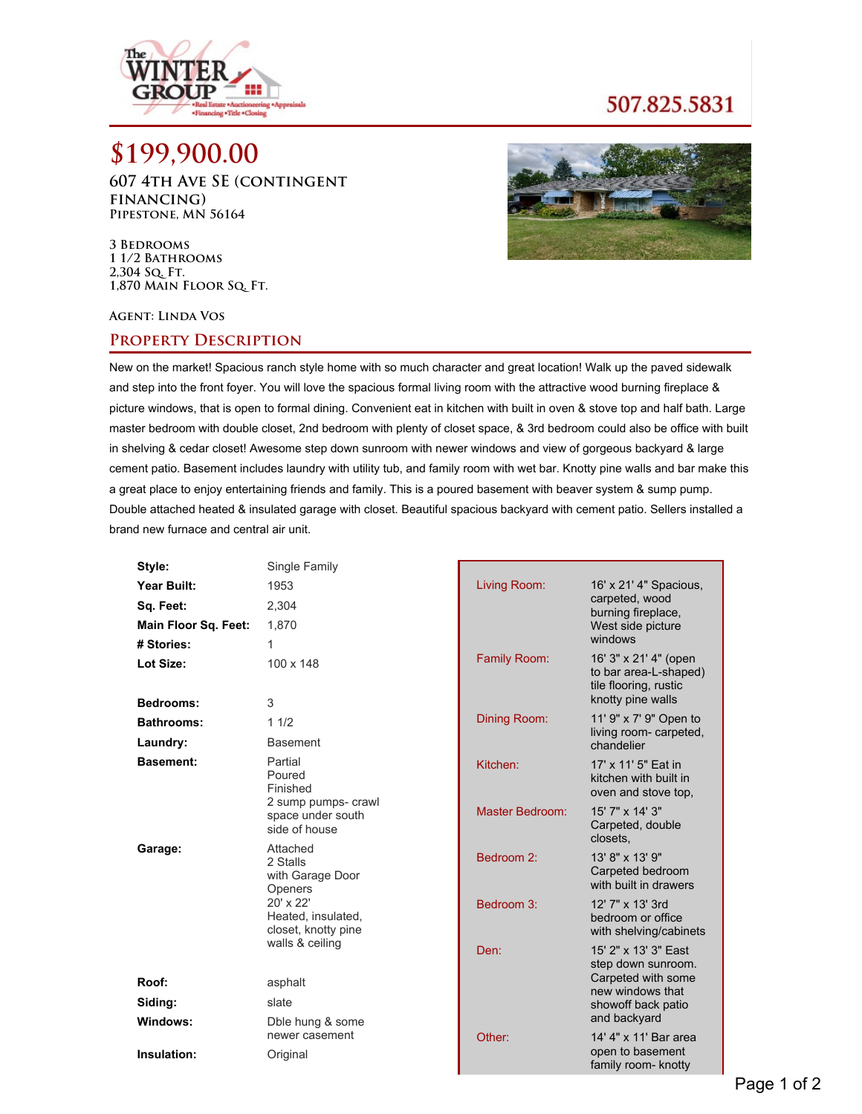

## 507.825.5831

# **\$199,900.00**

**607 4th Ave SE (contingent financing) Pipestone, MN 56164**



**3 Bedrooms 1 1/2 Bathrooms 2,304 Sq. Ft. 1,870 Main Floor Sq. Ft.**

#### **Agent: Linda Vos**

### **Property Description**

New on the market! Spacious ranch style home with so much character and great location! Walk up the paved sidewalk and step into the front foyer. You will love the spacious formal living room with the attractive wood burning fireplace & picture windows, that is open to formal dining. Convenient eat in kitchen with built in oven & stove top and half bath. Large master bedroom with double closet, 2nd bedroom with plenty of closet space, & 3rd bedroom could also be office with built in shelving & cedar closet! Awesome step down sunroom with newer windows and view of gorgeous backyard & large cement patio. Basement includes laundry with utility tub, and family room with wet bar. Knotty pine walls and bar make this a great place to enjoy entertaining friends and family. This is a poured basement with beaver system & sump pump. Double attached heated & insulated garage with closet. Beautiful spacious backyard with cement patio. Sellers installed a brand new furnace and central air unit.

| Style:                      | Single Family                                             |                 |                                                                                              |
|-----------------------------|-----------------------------------------------------------|-----------------|----------------------------------------------------------------------------------------------|
| Year Built:                 | 1953                                                      | Living Room:    | 16' x 21' 4" Spacious,                                                                       |
| Sq. Feet:                   | 2,304                                                     |                 | carpeted, wood<br>burning fireplace,                                                         |
| <b>Main Floor Sq. Feet:</b> | 1,870                                                     |                 | West side picture                                                                            |
| # Stories:                  | 1                                                         |                 | windows                                                                                      |
| Lot Size:<br>Bedrooms:      | 100 x 148<br>3                                            | Family Room:    | 16' 3" x 21' 4" (open<br>to bar area-L-shaped)<br>tile flooring, rustic<br>knotty pine walls |
| <b>Bathrooms:</b>           | 11/2                                                      | Dining Room:    | 11' 9" x 7' 9" Open to                                                                       |
| Laundry:                    | <b>Basement</b>                                           |                 | living room- carpeted,<br>chandelier                                                         |
| <b>Basement:</b>            | Partial<br>Poured<br>Finished                             | Kitchen:        | 17' x 11' 5" Eat in<br>kitchen with built in<br>oven and stove top,                          |
|                             | 2 sump pumps- crawl<br>space under south<br>side of house | Master Bedroom: | 15' 7" x 14' 3"<br>Carpeted, double<br>closets.                                              |
| Garage:                     | Attached<br>2 Stalls<br>with Garage Door<br>Openers       | Bedroom 2:      | 13' 8" x 13' 9"<br>Carpeted bedroom<br>with built in drawers                                 |
|                             | 20' x 22'<br>Heated, insulated,<br>closet, knotty pine    | Bedroom 3:      | 12' 7" x 13' 3rd<br>bedroom or office<br>with shelving/cabinets                              |
|                             | walls & ceiling                                           | Den:            | 15' 2" x 13' 3" East<br>step down sunroom.                                                   |
| Roof:                       | asphalt                                                   |                 | Carpeted with some<br>new windows that                                                       |
| Siding:                     | slate                                                     |                 | showoff back patio                                                                           |
| Windows:                    | Dble hung & some                                          |                 | and backyard                                                                                 |
| Insulation:                 | newer casement<br>Original                                | Other:          | 14' 4" x 11' Bar area<br>open to basement<br>family room- knotty                             |